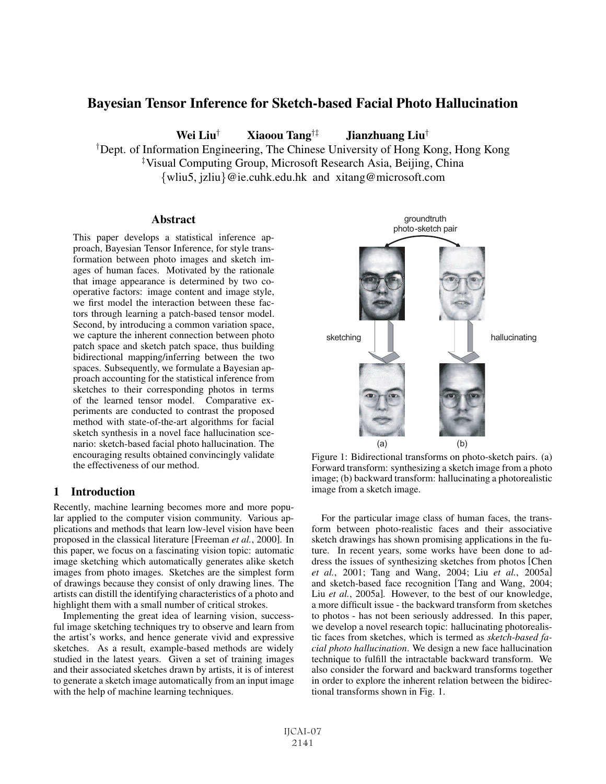# Bayesian Tensor Inference for Sketch-based Facial Photo Hallucination

Wei Liu† Xiaoou Tang†‡ Jianzhuang Liu†

†Dept. of Information Engineering, The Chinese University of Hong Kong, Hong Kong ‡ Visual Computing Group, Microsoft Research Asia, Beijing, China

{wliu5, jzliu}@ie.cuhk.edu.hk and xitang@microsoft.com

## **Abstract**

This paper develops a statistical inference approach, Bayesian Tensor Inference, for style transformation between photo images and sketch images of human faces. Motivated by the rationale that image appearance is determined by two cooperative factors: image content and image style, we first model the interaction between these factors through learning a patch-based tensor model. Second, by introducing a common variation space, we capture the inherent connection between photo patch space and sketch patch space, thus building bidirectional mapping/inferring between the two spaces. Subsequently, we formulate a Bayesian approach accounting for the statistical inference from sketches to their corresponding photos in terms of the learned tensor model. Comparative experiments are conducted to contrast the proposed method with state-of-the-art algorithms for facial sketch synthesis in a novel face hallucination scenario: sketch-based facial photo hallucination. The encouraging results obtained convincingly validate the effectiveness of our method.

## 1 Introduction

Recently, machine learning becomes more and more popular applied to the computer vision community. Various applications and methods that learn low-level vision have been proposed in the classical literature [Freeman *et al.*, 2000]. In this paper, we focus on a fascinating vision topic: automatic image sketching which automatically generates alike sketch images from photo images. Sketches are the simplest form of drawings because they consist of only drawing lines. The artists can distill the identifying characteristics of a photo and highlight them with a small number of critical strokes.

Implementing the great idea of learning vision, successful image sketching techniques try to observe and learn from the artist's works, and hence generate vivid and expressive sketches. As a result, example-based methods are widely studied in the latest years. Given a set of training images and their associated sketches drawn by artists, it is of interest to generate a sketch image automatically from an input image with the help of machine learning techniques.



Figure 1: Bidirectional transforms on photo-sketch pairs. (a) Forward transform: synthesizing a sketch image from a photo image; (b) backward transform: hallucinating a photorealistic image from a sketch image.

For the particular image class of human faces, the transform between photo-realistic faces and their associative sketch drawings has shown promising applications in the future. In recent years, some works have been done to address the issues of synthesizing sketches from photos [Chen *et al.*, 2001; Tang and Wang, 2004; Liu *et al.*, 2005a] and sketch-based face recognition [Tang and Wang, 2004; Liu *et al.*, 2005a]. However, to the best of our knowledge, a more difficult issue - the backward transform from sketches to photos - has not been seriously addressed. In this paper, we develop a novel research topic: hallucinating photorealistic faces from sketches, which is termed as *sketch-based facial photo hallucination*. We design a new face hallucination technique to fulfill the intractable backward transform. We also consider the forward and backward transforms together in order to explore the inherent relation between the bidirectional transforms shown in Fig. 1.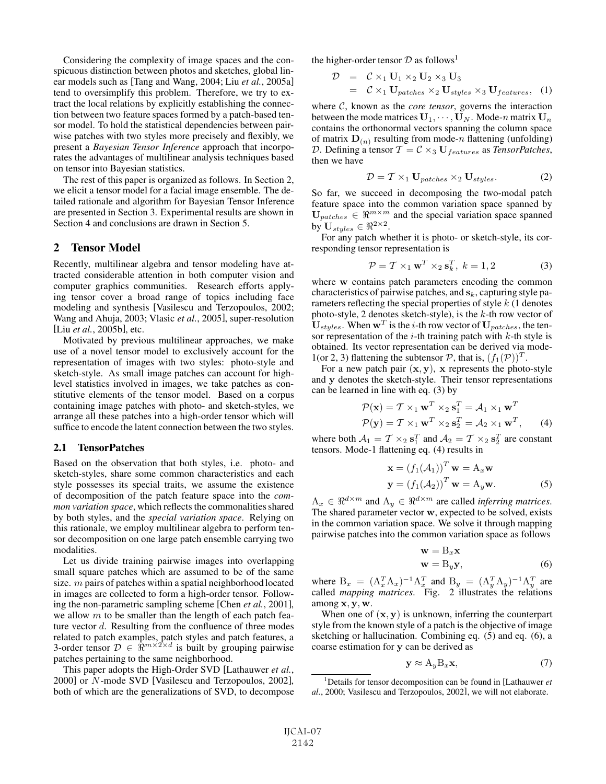Considering the complexity of image spaces and the conspicuous distinction between photos and sketches, global linear models such as [Tang and Wang, 2004; Liu *et al.*, 2005a] tend to oversimplify this problem. Therefore, we try to extract the local relations by explicitly establishing the connection between two feature spaces formed by a patch-based tensor model. To hold the statistical dependencies between pairwise patches with two styles more precisely and flexibly, we present a *Bayesian Tensor Inference* approach that incorporates the advantages of multilinear analysis techniques based on tensor into Bayesian statistics.

The rest of this paper is organized as follows. In Section 2, we elicit a tensor model for a facial image ensemble. The detailed rationale and algorithm for Bayesian Tensor Inference are presented in Section 3. Experimental results are shown in Section 4 and conclusions are drawn in Section 5.

## 2 Tensor Model

Recently, multilinear algebra and tensor modeling have attracted considerable attention in both computer vision and computer graphics communities. Research efforts applying tensor cover a broad range of topics including face modeling and synthesis [Vasilescu and Terzopoulos, 2002; Wang and Ahuja, 2003; Vlasic *et al.*, 2005], super-resolution [Liu *et al.*, 2005b], etc.

Motivated by previous multilinear approaches, we make use of a novel tensor model to exclusively account for the representation of images with two styles: photo-style and sketch-style. As small image patches can account for highlevel statistics involved in images, we take patches as constitutive elements of the tensor model. Based on a corpus containing image patches with photo- and sketch-styles, we arrange all these patches into a high-order tensor which will suffice to encode the latent connection between the two styles.

## 2.1 TensorPatches

Based on the observation that both styles, i.e. photo- and sketch-styles, share some common characteristics and each style possesses its special traits, we assume the existence of decomposition of the patch feature space into the *common variation space*, which reflects the commonalities shared by both styles, and the *special variation space*. Relying on this rationale, we employ multilinear algebra to perform tensor decomposition on one large patch ensemble carrying two modalities.

Let us divide training pairwise images into overlapping small square patches which are assumed to be of the same size.  $m$  pairs of patches within a spatial neighborhood located in images are collected to form a high-order tensor. Following the non-parametric sampling scheme [Chen *et al.*, 2001], we allow  $m$  to be smaller than the length of each patch feature vector d. Resulting from the confluence of three modes related to patch examples, patch styles and patch features, a 3-order tensor  $\mathcal{D} \in \mathbb{R}^{m \times 2 \times d}$  is built by grouping pairwise patches pertaining to the same neighborhood.

This paper adopts the High-Order SVD [Lathauwer *et al.*, 2000] or N-mode SVD [Vasilescu and Terzopoulos, 2002], both of which are the generalizations of SVD, to decompose the higher-order tensor  $D$  as follows<sup>1</sup>

$$
\mathcal{D} = \mathcal{C} \times_1 \mathbf{U}_1 \times_2 \mathbf{U}_2 \times_3 \mathbf{U}_3
$$
  
=  $\mathcal{C} \times_1 \mathbf{U}_{patches} \times_2 \mathbf{U}_{style} \times_3 \mathbf{U}_{features}, (1)$ 

where  $C$ , known as the *core tensor*, governs the interaction between the mode matrices  $U_1, \dots, U_N$ . Mode-n matrix  $U_n$ contains the orthonormal vectors spanning the column space of matrix  $D_{(n)}$  resulting from mode-n flattening (unfolding) D. Defining a tensor  $T = C \times_3 \mathbf{U}_{features}$  as *TensorPatches*, then we have

$$
\mathcal{D} = \mathcal{T} \times_1 \mathbf{U}_{patches} \times_2 \mathbf{U}_{styles}.
$$
 (2)

So far, we succeed in decomposing the two-modal patch feature space into the common variation space spanned by  $\mathbf{U}_{patches} \in \mathbb{R}^{m \times m}$  and the special variation space spanned by  $\mathbf{U}_{style}$   $\in \Re^{2 \times 2}$ .

For any patch whether it is photo- or sketch-style, its corresponding tensor representation is

$$
\mathcal{P} = \mathcal{T} \times_1 \mathbf{w}^T \times_2 \mathbf{s}_k^T, \ k = 1, 2 \tag{3}
$$

where w contains patch parameters encoding the common characteristics of pairwise patches, and **s**k, capturing style parameters reflecting the special properties of style  $k$  (1 denotes photo-style, 2 denotes sketch-style), is the  $k$ -th row vector of  $U_{styles}$ . When  $w^T$  is the *i*-th row vector of  $U_{patches}$ , the tensor representation of the  $i$ -th training patch with  $k$ -th style is obtained. Its vector representation can be derived via mode-1(or 2, 3) flattening the subtensor  $P$ , that is,  $(f_1(P))^T$ .

For a new patch pair  $(x, y)$ , **x** represents the photo-style and **y** denotes the sketch-style. Their tensor representations can be learned in line with eq. (3) by

$$
\mathcal{P}(\mathbf{x}) = \mathcal{T} \times_1 \mathbf{w}^T \times_2 \mathbf{s}_1^T = \mathcal{A}_1 \times_1 \mathbf{w}^T
$$
  

$$
\mathcal{P}(\mathbf{y}) = \mathcal{T} \times_1 \mathbf{w}^T \times_2 \mathbf{s}_2^T = \mathcal{A}_2 \times_1 \mathbf{w}^T,
$$
 (4)

where both  $A_1 = T \times_2 s_1^T$  and  $A_2 = T \times_2 s_2^T$  are constant tensors. Mode-1 flattening eq. (4) results in tensors. Mode-1 flattening eq. (4) results in

$$
\mathbf{x} = (f_1(A_1))^T \mathbf{w} = A_x \mathbf{w}
$$
  

$$
\mathbf{y} = (f_1(A_2))^T \mathbf{w} = A_y \mathbf{w}.
$$
 (5)

 $A_x \in \mathbb{R}^{d \times m}$  and  $A_y \in \mathbb{R}^{d \times m}$  are called *inferring matrices*. The shared parameter vector **w**, expected to be solved, exists in the common variation space. We solve it through mapping pairwise patches into the common variation space as follows

$$
\mathbf{w} = \mathbf{B}_x \mathbf{x}
$$
  

$$
\mathbf{w} = \mathbf{B}_y \mathbf{y},
$$
 (6)

where  $B_x = (A_x^T A_x)^{-1} A_x^T$  and  $B_y = (A_y^T A_y)^{-1} A_y^T$  are<br>called *manning matrices* Fig. 2 illustrates the relations called *mapping matrices*. Fig. 2 illustrates the relations among **x**, **y**, **w**.

When one of  $(x, y)$  is unknown, inferring the counterpart style from the known style of a patch is the objective of image sketching or hallucination. Combining eq. (5) and eq. (6), a coarse estimation for **y** can be derived as

$$
\mathbf{y} \approx A_y B_x \mathbf{x},\tag{7}
$$

<sup>1</sup> Details for tensor decomposition can be found in [Lathauwer *et al.*, 2000; Vasilescu and Terzopoulos, 2002], we will not elaborate.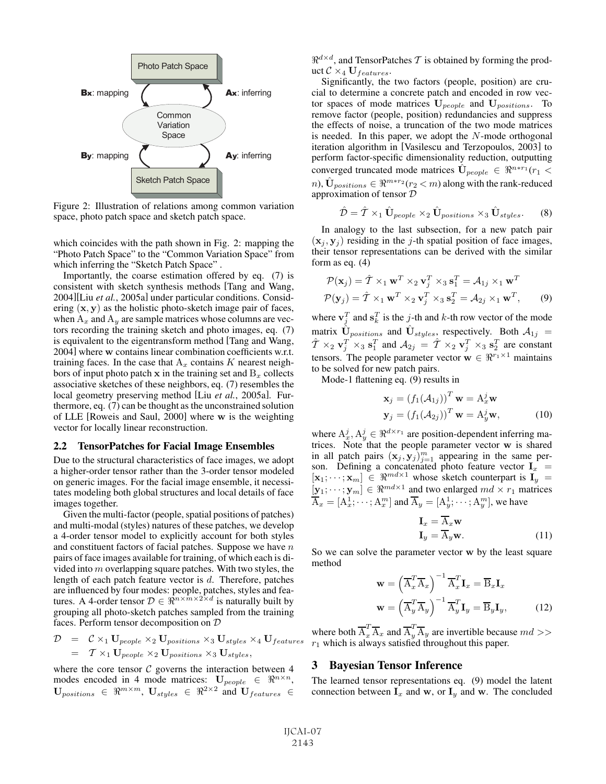

Figure 2: Illustration of relations among common variation space, photo patch space and sketch patch space.

which coincides with the path shown in Fig. 2: mapping the "Photo Patch Space" to the "Common Variation Space" from which inferring the "Sketch Patch Space" .

Importantly, the coarse estimation offered by eq. (7) is consistent with sketch synthesis methods [Tang and Wang, 2004][Liu *et al.*, 2005a] under particular conditions. Considering (**x**, **<sup>y</sup>**) as the holistic photo-sketch image pair of faces, when  $A_x$  and  $A_y$  are sample matrices whose columns are vectors recording the training sketch and photo images, eq. (7) is equivalent to the eigentransform method [Tang and Wang, 2004] where **w** contains linear combination coefficients w.r.t. training faces. In the case that  $A_x$  contains K nearest neighbors of input photo patch  $x$  in the training set and  $B_x$  collects associative sketches of these neighbors, eq. (7) resembles the local geometry preserving method [Liu *et al.*, 2005a]. Furthermore, eq. (7) can be thought as the unconstrained solution of LLE [Roweis and Saul, 2000] where **w** is the weighting vector for locally linear reconstruction.

#### 2.2 TensorPatches for Facial Image Ensembles

Due to the structural characteristics of face images, we adopt a higher-order tensor rather than the 3-order tensor modeled on generic images. For the facial image ensemble, it necessitates modeling both global structures and local details of face images together.

Given the multi-factor (people, spatial positions of patches) and multi-modal (styles) natures of these patches, we develop a 4-order tensor model to explicitly account for both styles and constituent factors of facial patches. Suppose we have  $n$ pairs of face images available for training, of which each is divided into  $m$  overlapping square patches. With two styles, the length of each patch feature vector is d. Therefore, patches are influenced by four modes: people, patches, styles and fea-<br>tures. A 4-order tensor  $D \in \Re^{n \times m \times 2 \times d}$  is naturally built by grouping all photo-sketch patches sampled from the training faces. Perform tensor decomposition on D

$$
\mathcal{D} = \mathcal{C} \times_1 \mathbf{U}_{people} \times_2 \mathbf{U}_{positions} \times_3 \mathbf{U}_{styles} \times_4 \mathbf{U}_{features}
$$
  
=  $\mathcal{T} \times_1 \mathbf{U}_{people} \times_2 \mathbf{U}_{positions} \times_3 \mathbf{U}_{styles},$ 

where the core tensor  $C$  governs the interaction between 4 modes encoded in 4 mode matrices:  $\mathbf{U}_{people} \in \mathbb{R}^{n \times n}$ ,  $\mathbf{U}_{positions} \in \mathbb{R}^{m \times m}$ ,  $\mathbf{U}_{styles} \in \mathbb{R}^{2 \times 2}$  and  $\mathbf{U}_{features} \in$   $\Re^{d \times d}$ , and TensorPatches T is obtained by forming the product  $C \times_4 U_{features}$ .

Significantly, the two factors (people, position) are crucial to determine a concrete patch and encoded in row vector spaces of mode matrices  $U_{people}$  and  $U_{positions}$ . To remove factor (people, position) redundancies and suppress the effects of noise, a truncation of the two mode matrices is needed. In this paper, we adopt the  $N$ -mode orthogonal iteration algorithm in [Vasilescu and Terzopoulos, 2003] to perform factor-specific dimensionality reduction, outputting converged truncated mode matrices  $\mathbf{U}_{people} \in \mathbb{R}^{n*r_1}(r_1 \leq$  $n$ ,  $\hat{\mathbf{U}}_{positions} \in \mathbb{R}^{m*r_2}(r_2 < m)$  along with the rank-reduced approximation of tensor D

$$
\hat{\mathcal{D}} = \hat{\mathcal{T}} \times_1 \hat{\mathbf{U}}_{people} \times_2 \hat{\mathbf{U}}_{positions} \times_3 \hat{\mathbf{U}}_{styles}. \tag{8}
$$

In analogy to the last subsection, for a new patch pair  $(\mathbf{x}_i, \mathbf{y}_i)$  residing in the j-th spatial position of face images, their tensor representations can be derived with the similar form as eq. (4)

$$
\mathcal{P}(\mathbf{x}_j) = \hat{T} \times_1 \mathbf{w}^T \times_2 \mathbf{v}_j^T \times_3 \mathbf{s}_1^T = \mathcal{A}_{1j} \times_1 \mathbf{w}^T \n\mathcal{P}(\mathbf{y}_j) = \hat{T} \times_1 \mathbf{w}^T \times_2 \mathbf{v}_j^T \times_3 \mathbf{s}_2^T = \mathcal{A}_{2j} \times_1 \mathbf{w}^T,
$$
\n(9)

where  $\mathbf{v}_i^T$  and  $\mathbf{s}_k^T$  is the j-th and k-th row vector of the mode matrix  $\hat{\mathbf{U}}_{positions}$  and  $\hat{\mathbf{U}}_{styles}$ , respectively. Both  $\mathcal{A}_{1j}$  $\hat{T} \times_2 \mathbf{v}_j^T \times_3 \mathbf{s}_1^T$  and  $\mathcal{A}_{2j} = \hat{T} \times_2 \mathbf{v}_j^T \times_3 \mathbf{s}_2^T$  are constant tensors. The people parameter vector  $\mathbf{w} \in \mathbb{R}^{r_1 \times 1}$  maintains to be solved for new patch pairs.

Mode-1 flattening eq. (9) results in

$$
\mathbf{x}_{j} = (f_{1}(\mathcal{A}_{1j}))^{T} \mathbf{w} = A_{x}^{j} \mathbf{w}
$$

$$
\mathbf{y}_{j} = (f_{1}(\mathcal{A}_{2j}))^{T} \mathbf{w} = A_{y}^{j} \mathbf{w},
$$
(10)

where  $A_x^j$ ,  $A_y^j \in \mathbb{R}^{d \times r_1}$  are position-dependent inferring matrices. Note that the people parameter vector **w** is shared trices. Note that the people parameter vector **w** is shared in all patch pairs  $(\mathbf{x}_j, \mathbf{y}_j)_{j=1}^m$  appearing in the same per-<br>son Defining a concatenated photo feature vector  $\mathbf{I}_n =$ son. Defining a concatenated photo feature vector  $I_x = [\mathbf{x}_1 \cdots \mathbf{x}_m] \in \mathbb{R}^{md \times 1}$  whose sketch counternart is  $I_y =$  $\begin{bmatrix} \mathbf{x}_1; \cdots; \mathbf{x}_m \end{bmatrix} \in \mathbb{R}^{md \times 1}$  whose sketch counterpart is  $\mathbf{I}_y = \begin{bmatrix} \mathbf{x}_1; \cdots; \mathbf{x}_m \end{bmatrix} \in \mathbb{R}^{md \times 1}$  and two enlarged  $md \times x$ , matrices  $[\mathbf{y}_1; \cdots; \mathbf{y}_m] \in \mathbb{R}^{md \times 1}$  and two enlarged  $md \times r_1$  matrices  $\overline{A}_x = [A_x^1; \cdots; A_x^m]$  and  $\overline{A}_y = [A_y^1; \cdots; A_y^m]$ , we have

$$
\mathbf{I}_x = \overline{\mathbf{A}}_x \mathbf{w}
$$
  

$$
\mathbf{I}_y = \overline{\mathbf{A}}_y \mathbf{w}.
$$
 (11)

So we can solve the parameter vector **w** by the least square method

$$
\mathbf{w} = \left(\overline{\mathbf{A}}_x^T \overline{\mathbf{A}}_x\right)^{-1} \overline{\mathbf{A}}_x^T \mathbf{I}_x = \overline{\mathbf{B}}_x \mathbf{I}_x
$$

$$
\mathbf{w} = \left(\overline{\mathbf{A}}_y^T \overline{\mathbf{A}}_y\right)^{-1} \overline{\mathbf{A}}_y^T \mathbf{I}_y = \overline{\mathbf{B}}_y \mathbf{I}_y,
$$
(12)

where both  $\overline{A}_x^T \overline{A}_x$  and  $\overline{A}_y^T \overline{A}_y$  are invertible because  $md >> r_1$  which is always satisfied throughout this paper.

#### 3 Bayesian Tensor Inference

The learned tensor representations eq. (9) model the latent connection between  $\mathbf{I}_x$  and **w**, or  $\mathbf{I}_y$  and **w**. The concluded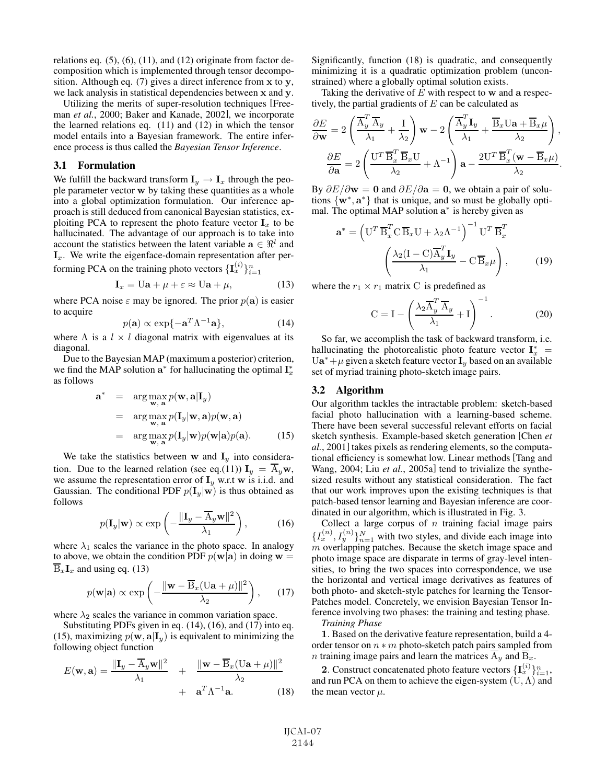relations eq.  $(5)$ ,  $(6)$ ,  $(11)$ , and  $(12)$  originate from factor decomposition which is implemented through tensor decomposition. Although eq. (7) gives a direct inference from **x** to **y**, we lack analysis in statistical dependencies between **x** and **y**.

Utilizing the merits of super-resolution techniques [Freeman *et al.*, 2000; Baker and Kanade, 2002], we incorporate the learned relations eq. (11) and (12) in which the tensor model entails into a Bayesian framework. The entire inference process is thus called the *Bayesian Tensor Inference*.

#### 3.1 Formulation

We fulfill the backward transform  $\mathbf{I}_y \to \mathbf{I}_x$  through the people parameter vector **w** by taking these quantities as a whole into a global optimization formulation. Our inference approach is still deduced from canonical Bayesian statistics, exploiting PCA to represent the photo feature vector  $I_x$  to be hallucinated. The advantage of our approach is to take into account the statistics between the latent variable  $\mathbf{a} \in \mathbb{R}^l$  and  $\mathbf{I}_x$ . We write the eigenface-domain representation after performing PCA on the training photo vectors  $\{\mathbf{I}_x^{(i)}\}_{i=1}^n$ 

$$
\mathbf{I}_x = \mathbf{U}\mathbf{a} + \mu + \varepsilon \approx \mathbf{U}\mathbf{a} + \mu,\tag{13}
$$

where PCA noise  $\varepsilon$  may be ignored. The prior  $p(\mathbf{a})$  is easier to acquire to acquire

$$
p(\mathbf{a}) \propto \exp\{-\mathbf{a}^T \Lambda^{-1} \mathbf{a}\},\tag{14}
$$

where  $\Lambda$  is a  $l \times l$  diagonal matrix with eigenvalues at its diagonal diagonal.

Due to the Bayesian MAP (maximum a posterior) criterion, we find the MAP solution  $a^*$  for hallucinating the optimal  $I_x^*$ as follows

$$
\mathbf{a}^* = \arg \max_{\mathbf{w}, \mathbf{a}} p(\mathbf{w}, \mathbf{a} | \mathbf{I}_y)
$$
  
= 
$$
\arg \max_{\mathbf{w}, \mathbf{a}} p(\mathbf{I}_y | \mathbf{w}, \mathbf{a}) p(\mathbf{w}, \mathbf{a})
$$
  
= 
$$
\arg \max_{\mathbf{w}, \mathbf{a}} p(\mathbf{I}_y | \mathbf{w}) p(\mathbf{w} | \mathbf{a}) p(\mathbf{a}).
$$
 (15)

We take the statistics between **w** and  $I_y$  into consideration. Due to the learned relation (see eq.(11))  $I_y = \overline{A}_y \mathbf{w}$ , we assume the representation error of  $I_y$  w.r.t **w** is i.i.d. and Gaussian. The conditional PDF  $p(\mathbf{I}_{y}|\mathbf{w})$  is thus obtained as follows

$$
p(\mathbf{I}_y|\mathbf{w}) \propto \exp\left(-\frac{\|\mathbf{I}_y - \overline{\mathbf{A}}_y \mathbf{w}\|^2}{\lambda_1}\right),\tag{16}
$$

where  $\lambda_1$  scales the variance in the photo space. In analogy to above, we obtain the condition PDF  $p(\mathbf{w}|\mathbf{a})$  in doing  $\mathbf{w} =$  $\overline{\mathbf{B}}_x \mathbf{I}_x$  and using eq. (13)

$$
p(\mathbf{w}|\mathbf{a}) \propto \exp\left(-\frac{\|\mathbf{w} - \overline{\mathbf{B}}_x(\mathbf{U}\mathbf{a} + \mu)\|^2}{\lambda_2}\right),
$$
 (17)

where  $\lambda_2$  scales the variance in common variation space.

Substituting PDFs given in eq. (14), (16), and (17) into eq. (15), maximizing  $p(\mathbf{w}, \mathbf{a} | \mathbf{I}_y)$  is equivalent to minimizing the following object function

$$
E(\mathbf{w}, \mathbf{a}) = \frac{\|\mathbf{I}_y - \overline{\mathbf{A}}_y \mathbf{w}\|^2}{\lambda_1} + \frac{\|\mathbf{w} - \overline{\mathbf{B}}_x (\mathbf{U} \mathbf{a} + \mu)\|^2}{\lambda_2} + \mathbf{a}^T \Lambda^{-1} \mathbf{a}.
$$
 (18)

Significantly, function (18) is quadratic, and consequently minimizing it is a quadratic optimization problem (unconstrained) where a globally optimal solution exists.

Taking the derivative of E with respect to **w** and **a** respectively, the partial gradients of  $E$  can be calculated as

$$
\frac{\partial E}{\partial \mathbf{w}} = 2 \left( \frac{\overline{A}_y^T \overline{A}_y}{\lambda_1} + \frac{I}{\lambda_2} \right) \mathbf{w} - 2 \left( \frac{\overline{A}_y^T \mathbf{I}_y}{\lambda_1} + \frac{\overline{B}_x \mathbf{U} \mathbf{a} + \overline{B}_x \mu}{\lambda_2} \right),
$$

$$
\frac{\partial E}{\partial \mathbf{a}} = 2 \left( \frac{\mathbf{U}^T \overline{B}_x^T \overline{B}_x \mathbf{U}}{\lambda_2} + \Lambda^{-1} \right) \mathbf{a} - \frac{2 \mathbf{U}^T \overline{B}_x^T (\mathbf{w} - \overline{B}_x \mu)}{\lambda_2}.
$$

By  $\partial E/\partial w = 0$  and  $\partial E/\partial a = 0$ , we obtain a pair of solutions  $\{w^*, a^*\}$  that is unique, and so must be globally optimal. The optimal MAP solution **a**<sup>∗</sup> is hereby given as

$$
\mathbf{a}^* = \left(\mathbf{U}^T \overline{\mathbf{B}}_x^T \mathbf{C} \overline{\mathbf{B}}_x \mathbf{U} + \lambda_2 \Lambda^{-1}\right)^{-1} \mathbf{U}^T \overline{\mathbf{B}}_x^T
$$

$$
\left(\frac{\lambda_2 (\mathbf{I} - \mathbf{C}) \overline{\mathbf{A}}_y^T \mathbf{I}_y}{\lambda_1} - \mathbf{C} \overline{\mathbf{B}}_x \mu\right), \qquad (19)
$$

where the  $r_1 \times r_1$  matrix C is predefined as

$$
C = I - \left(\frac{\lambda_2 \overline{A}_y^T \overline{A}_y}{\lambda_1} + I\right)^{-1}.
$$
 (20)

So far, we accomplish the task of backward transform, i.e. hallucinating the photorealistic photo feature vector  $\mathbf{I}_x^*$  = mailucinating the photorealistic photo reature vector  $\mathbf{I}_x^* = \text{Ua}^* + \mu$  given a sketch feature vector  $\mathbf{I}_y$  based on an available set of myriad training photo-sketch image pairs set of myriad training photo-sketch image pairs.

### 3.2 Algorithm

Our algorithm tackles the intractable problem: sketch-based facial photo hallucination with a learning-based scheme. There have been several successful relevant efforts on facial sketch synthesis. Example-based sketch generation [Chen *et al.*, 2001] takes pixels as rendering elements, so the computational efficiency is somewhat low. Linear methods [Tang and Wang, 2004; Liu *et al.*, 2005a] tend to trivialize the synthesized results without any statistical consideration. The fact that our work improves upon the existing techniques is that patch-based tensor learning and Bayesian inference are coordinated in our algorithm, which is illustrated in Fig. 3.

Collect a large corpus of  $n$  training facial image pairs  $\{I_x^{(n)}, I_y^{(n)}\}_{n=1}^N$  with two styles, and divide each image into m overlapping patches. Because the sketch image space and photo image space are disparate in terms of gray-level intensities, to bring the two spaces into correspondence, we use the horizontal and vertical image derivatives as features of both photo- and sketch-style patches for learning the Tensor-Patches model. Concretely, we envision Bayesian Tensor Inference involving two phases: the training and testing phase. *Training Phase*

**1**. Based on the derivative feature representation, build a 4 order tensor on  $n * m$  photo-sketch patch pairs sampled from *n* training image pairs and learn the matrices  $\overline{A}_y$  and  $\overline{B}_x$ .

**2**. Construct concatenated photo feature vectors  ${\{\mathbf{I}_x^{(i)}\}}_{i=1}^n$ , and run PCA on them to achieve the eigen-system  $(U, \Lambda)$  and the mean vector  $\mu$ .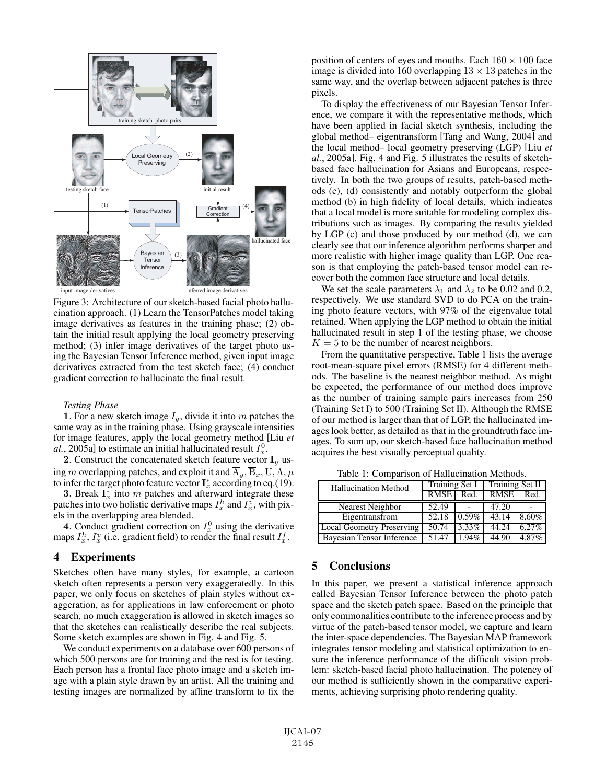

Figure 3: Architecture of our sketch-based facial photo hallucination approach. (1) Learn the TensorPatches model taking image derivatives as features in the training phase; (2) obtain the initial result applying the local geometry preserving method; (3) infer image derivatives of the target photo using the Bayesian Tensor Inference method, given input image derivatives extracted from the test sketch face; (4) conduct gradient correction to hallucinate the final result.

#### *Testing Phase*

**1**. For a new sketch image  $I_y$ , divide it into m patches the same way as in the training phase. Using grayscale intensities for image features, apply the local geometry method [Liu *et*  $al.$ , 2005a] to estimate an initial hallucinated result  $I_x^0$ .

**2**. Construct the concatenated sketch feature vector  $\mathbf{I}_y$  using m overlapping patches, and exploit it and  $\overline{A}_u$ ,  $\overline{B}_x$ , U,  $\Lambda$ ,  $\mu$ to infer the target photo feature vector  $\mathbf{I}_x^*$  according to eq.(19).

**3**. Break  $I_x^*$  into m patches and afterward integrate these patches into two holistic derivative maps  $I_x^h$  and  $I_y^v$ , with pixels in the overlapping area blended.

4. Conduct gradient correction on  $I_x^0$  using the derivative maps  $I_x^h$ ,  $I_x^v$  (i.e. gradient field) to render the final result  $I_x^f$ .

## 4 Experiments

Sketches often have many styles, for example, a cartoon sketch often represents a person very exaggeratedly. In this paper, we only focus on sketches of plain styles without exaggeration, as for applications in law enforcement or photo search, no much exaggeration is allowed in sketch images so that the sketches can realistically describe the real subjects. Some sketch examples are shown in Fig. 4 and Fig. 5.

We conduct experiments on a database over 600 persons of which 500 persons are for training and the rest is for testing. Each person has a frontal face photo image and a sketch image with a plain style drawn by an artist. All the training and testing images are normalized by affine transform to fix the position of centers of eyes and mouths. Each  $160 \times 100$  face image is divided into 160 overlapping  $13 \times 13$  patches in the same way, and the overlap between adjacent patches is three pixels.

To display the effectiveness of our Bayesian Tensor Inference, we compare it with the representative methods, which have been applied in facial sketch synthesis, including the global method– eigentransform [Tang and Wang, 2004] and the local method– local geometry preserving (LGP) [Liu *et al.*, 2005a]. Fig. 4 and Fig. 5 illustrates the results of sketchbased face hallucination for Asians and Europeans, respectively. In both the two groups of results, patch-based methods (c), (d) consistently and notably outperform the global method (b) in high fidelity of local details, which indicates that a local model is more suitable for modeling complex distributions such as images. By comparing the results yielded by LGP (c) and those produced by our method (d), we can clearly see that our inference algorithm performs sharper and more realistic with higher image quality than LGP. One reason is that employing the patch-based tensor model can recover both the common face structure and local details.

We set the scale parameters  $\lambda_1$  and  $\lambda_2$  to be 0.02 and 0.2, respectively. We use standard SVD to do PCA on the training photo feature vectors, with 97% of the eigenvalue total retained. When applying the LGP method to obtain the initial hallucinated result in step 1 of the testing phase, we choose  $K = 5$  to be the number of nearest neighbors.

From the quantitative perspective, Table 1 lists the average root-mean-square pixel errors (RMSE) for 4 different methods. The baseline is the nearest neighbor method. As might be expected, the performance of our method does improve as the number of training sample pairs increases from 250 (Training Set I) to 500 (Training Set II). Although the RMSE of our method is larger than that of LGP, the hallucinated images look better, as detailed as that in the groundtruth face images. To sum up, our sketch-based face hallucination method acquires the best visually perceptual quality.

Table 1: Comparison of Hallucination Methods.<br>[allucination Method | Training Set I | Training S Hallucination Method Training Set I Training Set II<br>RMSE Red. RMSE Red. RMSE<sup>1</sup> Nearest Neighbor | 52.49 | - | 47.20

Eigentransfrom 52.18 0.59% 43.14 8.60% Local Geometry Preserving 50.74 3.33% 44.24 6.27% Bayesian Tensor Inference 51.47 1.94% 44.90 4.87%

## 5 Conclusions

In this paper, we present a statistical inference approach called Bayesian Tensor Inference between the photo patch space and the sketch patch space. Based on the principle that only commonalities contribute to the inference process and by virtue of the patch-based tensor model, we capture and learn the inter-space dependencies. The Bayesian MAP framework integrates tensor modeling and statistical optimization to ensure the inference performance of the difficult vision problem: sketch-based facial photo hallucination. The potency of our method is sufficiently shown in the comparative experiments, achieving surprising photo rendering quality.